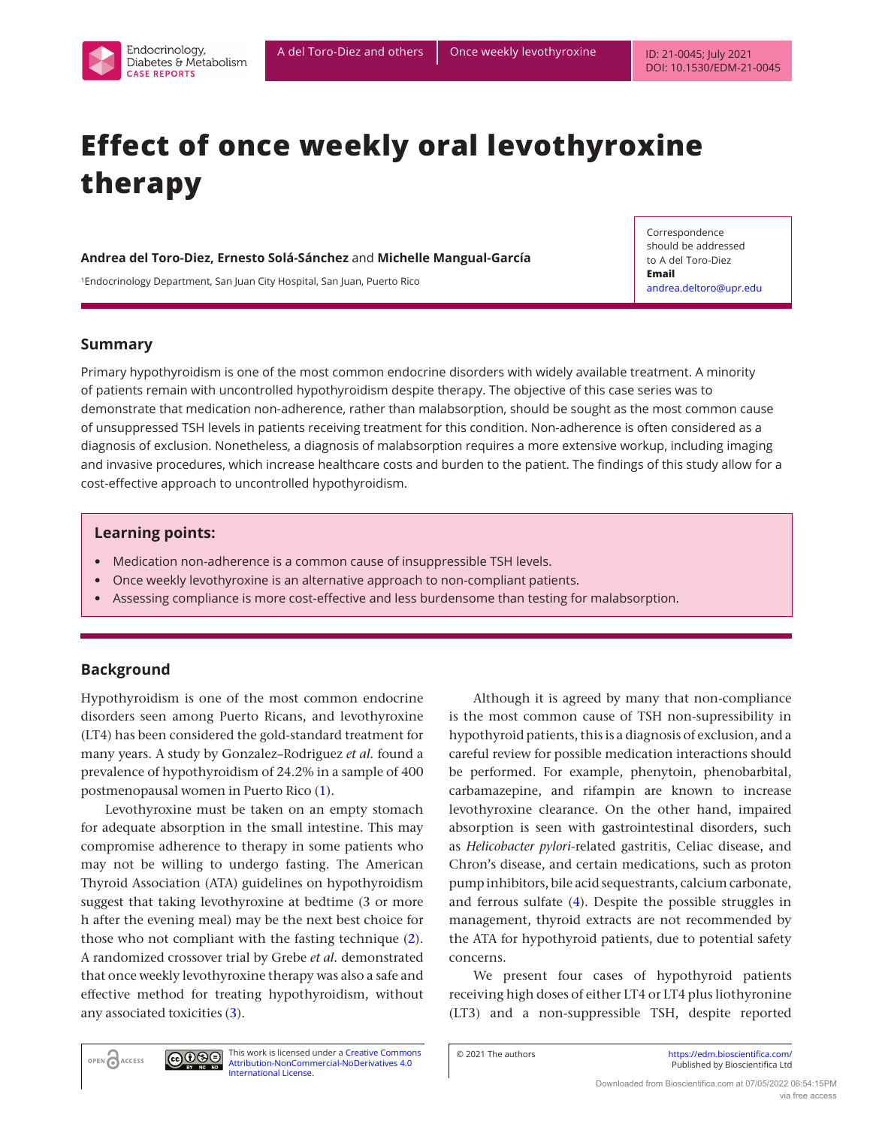

# **Effect of once weekly oral levothyroxine therapy**

#### **Andrea del Toro-Diez, Ernesto Solá-Sánchez** and **Michelle Mangual-García**

1Endocrinology Department, San Juan City Hospital, San Juan, Puerto Rico

Correspondence should be addressed to A del Toro-Diez **Email**  [andrea.deltoro@upr.edu](mailto:andrea.deltoro@upr.edu)

## **Summary**

Primary hypothyroidism is one of the most common endocrine disorders with widely available treatment. A minority of patients remain with uncontrolled hypothyroidism despite therapy. The objective of this case series was to demonstrate that medication non-adherence, rather than malabsorption, should be sought as the most common cause of unsuppressed TSH levels in patients receiving treatment for this condition. Non-adherence is often considered as a diagnosis of exclusion. Nonetheless, a diagnosis of malabsorption requires a more extensive workup, including imaging and invasive procedures, which increase healthcare costs and burden to the patient. The findings of this study allow for a cost-effective approach to uncontrolled hypothyroidism.

## **Learning points:**

- Medication non-adherence is a common cause of insuppressible TSH levels.
- Once weekly levothyroxine is an alternative approach to non-compliant patients.
- Assessing compliance is more cost-effective and less burdensome than testing for malabsorption.

# **Background**

Hypothyroidism is one of the most common endocrine disorders seen among Puerto Ricans, and levothyroxine (LT4) has been considered the gold-standard treatment for many years. A study by Gonzalez–Rodriguez *et al.* found a prevalence of hypothyroidism of 24.2% in a sample of 400 postmenopausal women in Puerto Rico ([1](#page-3-0)).

Levothyroxine must be taken on an empty stomach for adequate absorption in the small intestine. This may compromise adherence to therapy in some patients who may not be willing to undergo fasting. The American Thyroid Association (ATA) guidelines on hypothyroidism suggest that taking levothyroxine at bedtime (3 or more h after the evening meal) may be the next best choice for those who not compliant with the fasting technique [\(2](#page-3-1)). A randomized crossover trial by Grebe *et al.* demonstrated that once weekly levothyroxine therapy was also a safe and effective method for treating hypothyroidism, without any associated toxicities [\(3](#page-3-2)).

Although it is agreed by many that non-compliance is the most common cause of TSH non-supressibility in hypothyroid patients, this is a diagnosis of exclusion, and a careful review for possible medication interactions should be performed. For example, phenytoin, phenobarbital, carbamazepine, and rifampin are known to increase levothyroxine clearance. On the other hand, impaired absorption is seen with gastrointestinal disorders, such as *Helicobacter pylori*-related gastritis, Celiac disease, and Chron's disease, and certain medications, such as proton pump inhibitors, bile acid sequestrants, calcium carbonate, and ferrous sulfate ([4](#page-4-0)). Despite the possible struggles in management, thyroid extracts are not recommended by the ATA for hypothyroid patients, due to potential safety concerns.

We present four cases of hypothyroid patients receiving high doses of either LT4 or LT4 plus liothyronine (LT3) and a non-suppressible TSH, despite reported

OPEN ACCESS

<u>@0®0</u> This work is licensed under a [Creative Commons](https://creativecommons.org/licenses/by-nc-nd/4.0/)  [Attribution-NonCommercial-NoDerivatives 4.0](https://creativecommons.org/licenses/by-nc-nd/4.0/)  [International License.](https://creativecommons.org/licenses/by-nc-nd/4.0/)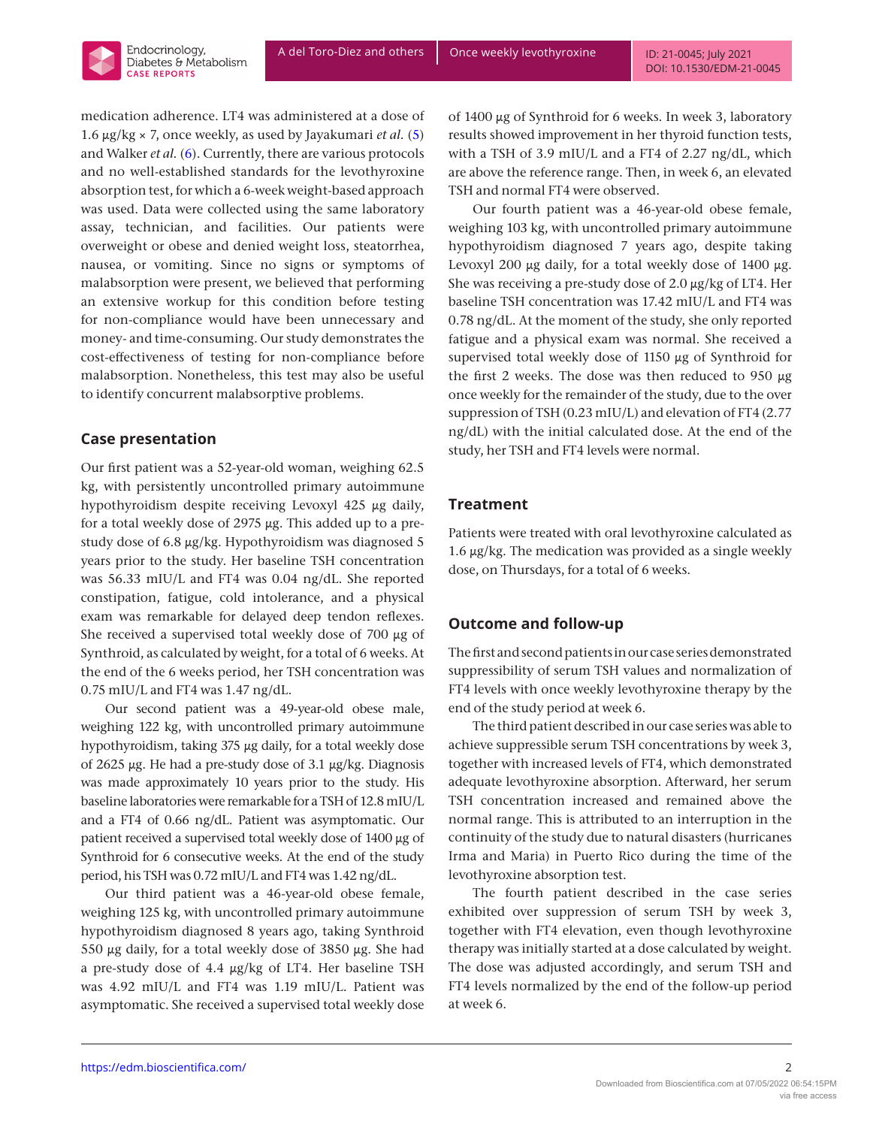

## **Case presentation**

Endocrinology, Diabetes & Metabolism **CASE REPORTS** 

Our first patient was a 52-year-old woman, weighing 62.5 kg, with persistently uncontrolled primary autoimmune hypothyroidism despite receiving Levoxyl 425 μg daily, for a total weekly dose of 2975 μg. This added up to a prestudy dose of 6.8 μg/kg. Hypothyroidism was diagnosed 5 years prior to the study. Her baseline TSH concentration was 56.33 mIU/L and FT4 was 0.04 ng/dL. She reported constipation, fatigue, cold intolerance, and a physical exam was remarkable for delayed deep tendon reflexes. She received a supervised total weekly dose of 700 μg of Synthroid, as calculated by weight, for a total of 6 weeks. At the end of the 6 weeks period, her TSH concentration was 0.75 mIU/L and FT4 was 1.47 ng/dL.

Our second patient was a 49-year-old obese male, weighing 122 kg, with uncontrolled primary autoimmune hypothyroidism, taking 375 μg daily, for a total weekly dose of 2625 μg. He had a pre-study dose of 3.1 μg/kg. Diagnosis was made approximately 10 years prior to the study. His baseline laboratories were remarkable for a TSH of 12.8 mIU/L and a FT4 of 0.66 ng/dL. Patient was asymptomatic. Our patient received a supervised total weekly dose of 1400 μg of Synthroid for 6 consecutive weeks. At the end of the study period, his TSH was 0.72 mIU/L and FT4 was 1.42 ng/dL.

Our third patient was a 46-year-old obese female, weighing 125 kg, with uncontrolled primary autoimmune hypothyroidism diagnosed 8 years ago, taking Synthroid 550 μg daily, for a total weekly dose of 3850 μg. She had a pre-study dose of 4.4 μg/kg of LT4. Her baseline TSH was 4.92 mIU/L and FT4 was 1.19 mIU/L. Patient was asymptomatic. She received a supervised total weekly dose of 1400 μg of Synthroid for 6 weeks. In week 3, laboratory results showed improvement in her thyroid function tests, with a TSH of 3.9 mIU/L and a FT4 of 2.27 ng/dL, which are above the reference range. Then, in week 6, an elevated TSH and normal FT4 were observed.

Our fourth patient was a 46-year-old obese female, weighing 103 kg, with uncontrolled primary autoimmune hypothyroidism diagnosed 7 years ago, despite taking Levoxyl 200 μg daily, for a total weekly dose of 1400 μg. She was receiving a pre-study dose of 2.0 μg/kg of LT4. Her baseline TSH concentration was 17.42 mIU/L and FT4 was 0.78 ng/dL. At the moment of the study, she only reported fatigue and a physical exam was normal. She received a supervised total weekly dose of 1150 μg of Synthroid for the first 2 weeks. The dose was then reduced to 950 μg once weekly for the remainder of the study, due to the over suppression of TSH (0.23 mIU/L) and elevation of FT4 (2.77 ng/dL) with the initial calculated dose. At the end of the study, her TSH and FT4 levels were normal.

## **Treatment**

Patients were treated with oral levothyroxine calculated as 1.6 μg/kg. The medication was provided as a single weekly dose, on Thursdays, for a total of 6 weeks.

## **Outcome and follow-up**

The first and second patients in our case series demonstrated suppressibility of serum TSH values and normalization of FT4 levels with once weekly levothyroxine therapy by the end of the study period at week 6.

The third patient described in our case series was able to achieve suppressible serum TSH concentrations by week 3, together with increased levels of FT4, which demonstrated adequate levothyroxine absorption. Afterward, her serum TSH concentration increased and remained above the normal range. This is attributed to an interruption in the continuity of the study due to natural disasters (hurricanes Irma and Maria) in Puerto Rico during the time of the levothyroxine absorption test.

The fourth patient described in the case series exhibited over suppression of serum TSH by week 3, together with FT4 elevation, even though levothyroxine therapy was initially started at a dose calculated by weight. The dose was adjusted accordingly, and serum TSH and FT4 levels normalized by the end of the follow-up period at week 6.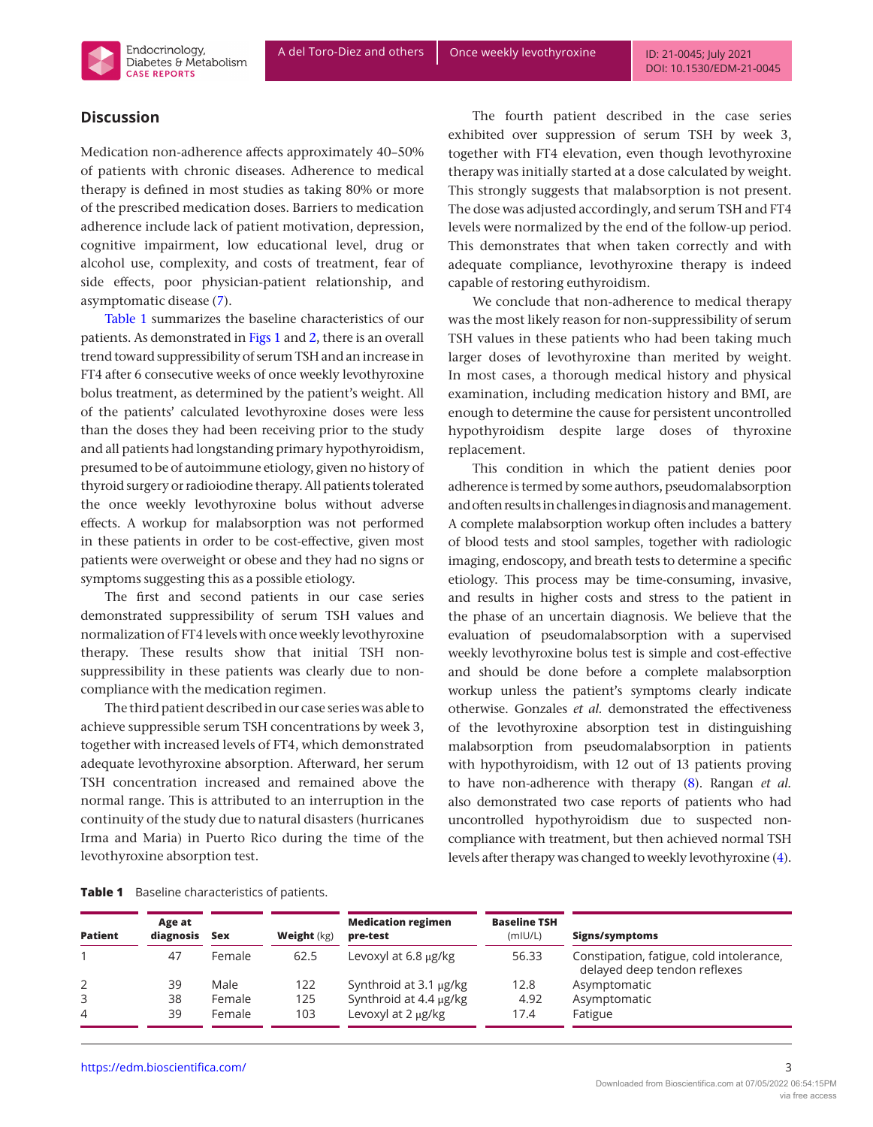

#### **Discussion**

Medication non-adherence affects approximately 40–50% of patients with chronic diseases. Adherence to medical therapy is defined in most studies as taking 80% or more of the prescribed medication doses. Barriers to medication adherence include lack of patient motivation, depression, cognitive impairment, low educational level, drug or alcohol use, complexity, and costs of treatment, fear of side effects, poor physician-patient relationship, and asymptomatic disease [\(7](#page-4-3)).

Table 1 summarizes the baseline characteristics of our patients. As demonstrated in [Figs 1](#page-3-3) and [2,](#page-3-3) there is an overall trend toward suppressibility of serum TSH and an increase in FT4 after 6 consecutive weeks of once weekly levothyroxine bolus treatment, as determined by the patient's weight. All of the patients' calculated levothyroxine doses were less than the doses they had been receiving prior to the study and all patients had longstanding primary hypothyroidism, presumed to be of autoimmune etiology, given no history of thyroid surgery or radioiodine therapy. All patients tolerated the once weekly levothyroxine bolus without adverse effects. A workup for malabsorption was not performed in these patients in order to be cost-effective, given most patients were overweight or obese and they had no signs or symptoms suggesting this as a possible etiology.

The first and second patients in our case series demonstrated suppressibility of serum TSH values and normalization of FT4 levels with once weekly levothyroxine therapy. These results show that initial TSH nonsuppressibility in these patients was clearly due to noncompliance with the medication regimen.

The third patient described in our case series was able to achieve suppressible serum TSH concentrations by week 3, together with increased levels of FT4, which demonstrated adequate levothyroxine absorption. Afterward, her serum TSH concentration increased and remained above the normal range. This is attributed to an interruption in the continuity of the study due to natural disasters (hurricanes Irma and Maria) in Puerto Rico during the time of the levothyroxine absorption test.

The fourth patient described in the case series exhibited over suppression of serum TSH by week 3, together with FT4 elevation, even though levothyroxine therapy was initially started at a dose calculated by weight. This strongly suggests that malabsorption is not present. The dose was adjusted accordingly, and serum TSH and FT4 levels were normalized by the end of the follow-up period. This demonstrates that when taken correctly and with adequate compliance, levothyroxine therapy is indeed capable of restoring euthyroidism.

We conclude that non-adherence to medical therapy was the most likely reason for non-suppressibility of serum TSH values in these patients who had been taking much larger doses of levothyroxine than merited by weight. In most cases, a thorough medical history and physical examination, including medication history and BMI, are enough to determine the cause for persistent uncontrolled hypothyroidism despite large doses of thyroxine replacement.

This condition in which the patient denies poor adherence is termed by some authors, pseudomalabsorption and often results in challenges in diagnosis and management. A complete malabsorption workup often includes a battery of blood tests and stool samples, together with radiologic imaging, endoscopy, and breath tests to determine a specific etiology. This process may be time-consuming, invasive, and results in higher costs and stress to the patient in the phase of an uncertain diagnosis. We believe that the evaluation of pseudomalabsorption with a supervised weekly levothyroxine bolus test is simple and cost-effective and should be done before a complete malabsorption workup unless the patient's symptoms clearly indicate otherwise. Gonzales *et al.* demonstrated the effectiveness of the levothyroxine absorption test in distinguishing malabsorption from pseudomalabsorption in patients with hypothyroidism, with 12 out of 13 patients proving to have non-adherence with therapy ([8\)](#page-4-4). Rangan *et al.* also demonstrated two case reports of patients who had uncontrolled hypothyroidism due to suspected noncompliance with treatment, but then achieved normal TSH levels after therapy was changed to weekly levothyroxine [\(4\)](#page-4-0).

| Baseline characteristics of patients.<br>Table 1 |  |
|--------------------------------------------------|--|
|--------------------------------------------------|--|

| <b>Patient</b> | Age at<br>diagnosis | <b>Sex</b> | Weight (kg) | <b>Medication regimen</b><br>pre-test | <b>Baseline TSH</b><br>(mIUI/L) | Signs/symptoms                                                           |
|----------------|---------------------|------------|-------------|---------------------------------------|---------------------------------|--------------------------------------------------------------------------|
|                | 47                  | Female     | 62.5        | Levoxyl at 6.8 µg/kg                  | 56.33                           | Constipation, fatigue, cold intolerance,<br>delayed deep tendon reflexes |
|                | 39                  | Male       | 122         | Synthroid at 3.1 µg/kg                | 12.8                            | Asymptomatic                                                             |
|                | 38                  | Female     | 125         | Synthroid at 4.4 µg/kg                | 4.92                            | Asymptomatic                                                             |
| 4              | 39                  | Female     | 103         | Levoxyl at 2 µg/kg                    | 17.4                            | Fatigue                                                                  |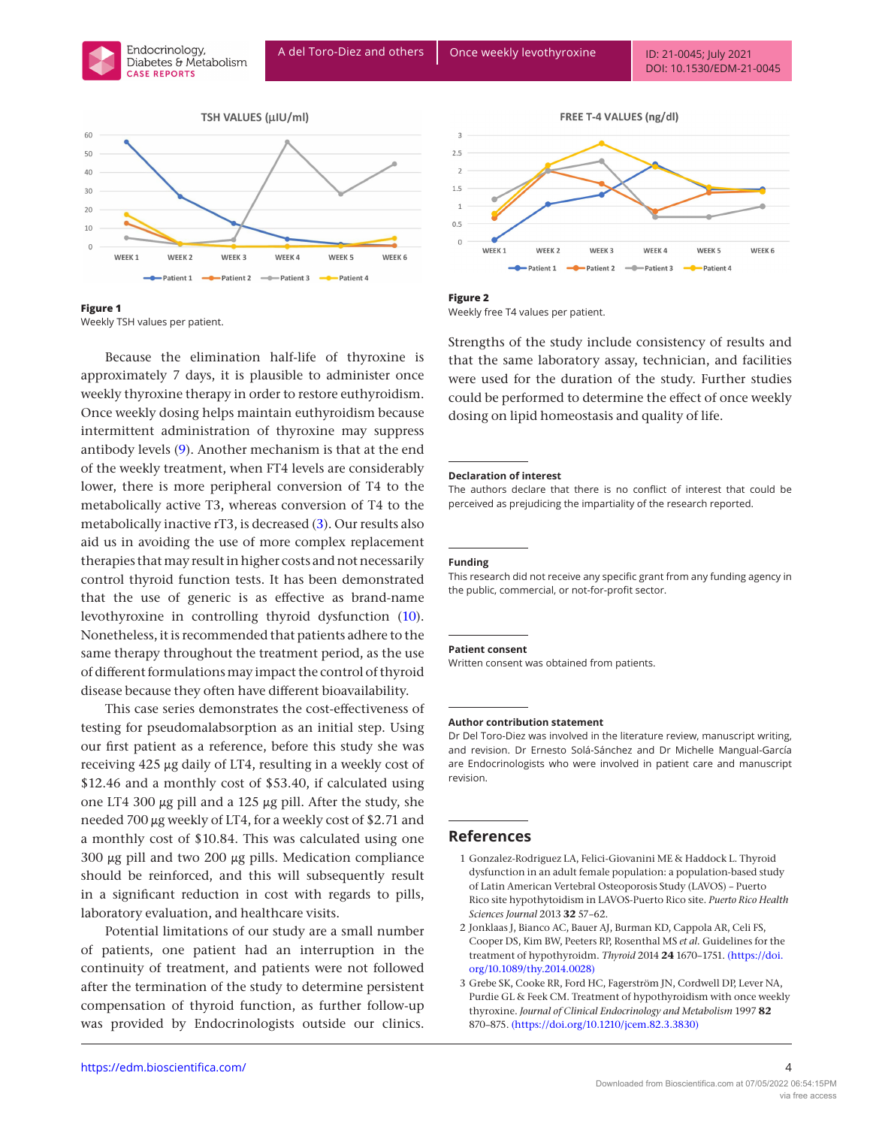<span id="page-3-3"></span>





Because the elimination half-life of thyroxine is approximately 7 days, it is plausible to administer once weekly thyroxine therapy in order to restore euthyroidism. Once weekly dosing helps maintain euthyroidism because intermittent administration of thyroxine may suppress antibody levels [\(9](#page-4-5)). Another mechanism is that at the end of the weekly treatment, when FT4 levels are considerably lower, there is more peripheral conversion of T4 to the metabolically active T3, whereas conversion of T4 to the metabolically inactive rT3, is decreased ([3](#page-3-2)). Our results also aid us in avoiding the use of more complex replacement therapies that may result in higher costs and not necessarily control thyroid function tests. It has been demonstrated that the use of generic is as effective as brand-name levothyroxine in controlling thyroid dysfunction [\(10\)](#page-4-6). Nonetheless, it is recommended that patients adhere to the same therapy throughout the treatment period, as the use of different formulations may impact the control of thyroid disease because they often have different bioavailability.

This case series demonstrates the cost-effectiveness of testing for pseudomalabsorption as an initial step. Using our first patient as a reference, before this study she was receiving 425 μg daily of LT4, resulting in a weekly cost of \$12.46 and a monthly cost of \$53.40, if calculated using one LT4 300 μg pill and a 125 μg pill. After the study, she needed 700 μg weekly of LT4, for a weekly cost of \$2.71 and a monthly cost of \$10.84. This was calculated using one 300 μg pill and two 200 μg pills. Medication compliance should be reinforced, and this will subsequently result in a significant reduction in cost with regards to pills, laboratory evaluation, and healthcare visits.

Potential limitations of our study are a small number of patients, one patient had an interruption in the continuity of treatment, and patients were not followed after the termination of the study to determine persistent compensation of thyroid function, as further follow-up was provided by Endocrinologists outside our clinics.



**Figure 2** Weekly free T4 values per patient.

Strengths of the study include consistency of results and that the same laboratory assay, technician, and facilities were used for the duration of the study. Further studies could be performed to determine the effect of once weekly dosing on lipid homeostasis and quality of life.

#### **Declaration of interest**

The authors declare that there is no conflict of interest that could be perceived as prejudicing the impartiality of the research reported.

#### **Funding**

This research did not receive any specific grant from any funding agency in the public, commercial, or not-for-profit sector.

#### **Patient consent**

Written consent was obtained from patients.

#### **Author contribution statement**

Dr Del Toro-Diez was involved in the literature review, manuscript writing, and revision. Dr Ernesto Solá-Sánchez and Dr Michelle Mangual-García are Endocrinologists who were involved in patient care and manuscript revision.

#### **References**

- <span id="page-3-0"></span>1 Gonzalez-Rodriguez LA, Felici-Giovanini ME & Haddock L. Thyroid dysfunction in an adult female population: a population-based study of Latin American Vertebral Osteoporosis Study (LAVOS) – Puerto Rico site hypothytoidism in LAVOS-Puerto Rico site. *Puerto Rico Health Sciences Journal* 2013 **32** 57–62.
- <span id="page-3-1"></span>2 Jonklaas J, Bianco AC, Bauer AJ, Burman KD, Cappola AR, Celi FS, Cooper DS, Kim BW, Peeters RP, Rosenthal MS *et al.* Guidelines for the treatment of hypothyroidm. *Thyroid* 2014 **24** 1670–1751. [\(https://doi.](https://doi.org/10.1089/thy.2014.0028) [org/10.1089/thy.2014.0028\)](https://doi.org/10.1089/thy.2014.0028)
- <span id="page-3-2"></span>3 Grebe SK, Cooke RR, Ford HC, Fagerström JN, Cordwell DP, Lever NA, Purdie GL & Feek CM. Treatment of hypothyroidism with once weekly thyroxine. *Journal of Clinical Endocrinology and Metabolism* 1997 **82** 870–875. [\(https://doi.org/10.1210/jcem.82.3.3830\)](https://doi.org/10.1210/jcem.82.3.3830)